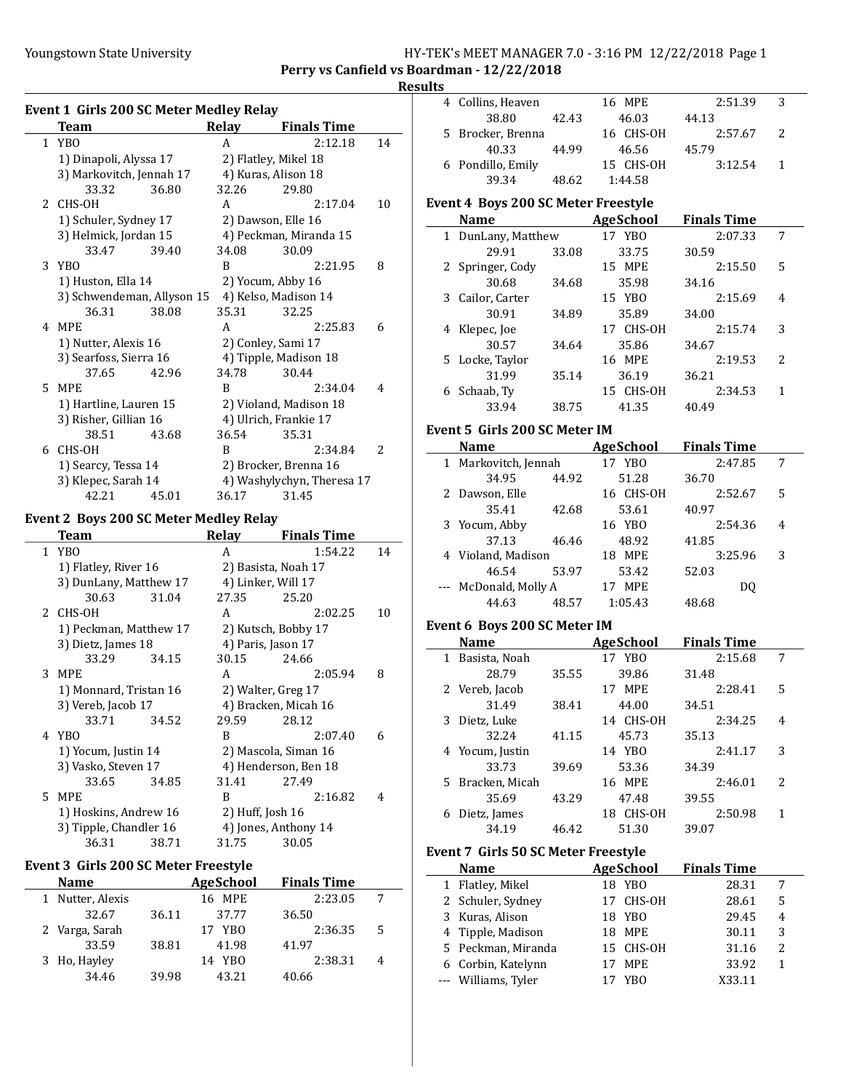## Youngstown State University The HY-TEK's MEET MANAGER 7.0 - 3:16 PM 12/22/2018 Page 1 Perry vs Canfield vs Boardman - 12/22/2018

#### Results

| <b>Event 1 Girls 200 SC Meter Medley Relay</b> |                                               |       |              |                            |    |  |
|------------------------------------------------|-----------------------------------------------|-------|--------------|----------------------------|----|--|
|                                                | <b>Team</b>                                   |       | <b>Relay</b> | <b>Finals Time</b>         |    |  |
|                                                | 1 YBO                                         |       | A            | 2:12.18                    | 14 |  |
|                                                | 1) Dinapoli, Alyssa 17                        |       |              | 2) Flatley, Mikel 18       |    |  |
|                                                | 3) Markovitch, Jennah 17                      |       |              | 4) Kuras, Alison 18        |    |  |
|                                                | 33.32                                         | 36.80 | 32.26        | 29.80                      |    |  |
| 2                                              | CHS-OH                                        |       | A            | 2:17.04                    | 10 |  |
|                                                | 1) Schuler, Sydney 17                         |       |              | 2) Dawson, Elle 16         |    |  |
|                                                | 3) Helmick, Jordan 15                         |       |              | 4) Peckman, Miranda 15     |    |  |
|                                                | 33.47                                         | 39.40 | 34.08        | 30.09                      |    |  |
|                                                | 3 YBO                                         |       | B            | 2:21.95                    | 8  |  |
|                                                | 1) Huston, Ella 14                            |       |              | 2) Yocum, Abby 16          |    |  |
|                                                | 3) Schwendeman, Allyson 15                    |       |              | 4) Kelso, Madison 14       |    |  |
|                                                | 36.31                                         | 38.08 | 35.31        | 32.25                      |    |  |
|                                                | 4 MPE                                         |       | A            | 2:25.83                    | 6  |  |
|                                                | 1) Nutter, Alexis 16                          |       |              | 2) Conley, Sami 17         |    |  |
|                                                | 3) Searfoss, Sierra 16                        |       |              | 4) Tipple, Madison 18      |    |  |
|                                                | 37.65                                         | 42.96 | 34.78        | 30.44                      |    |  |
| 5.                                             | MPE                                           |       | B            | 2:34.04                    | 4  |  |
|                                                | 1) Hartline, Lauren 15                        |       |              | 2) Violand, Madison 18     |    |  |
|                                                | 3) Risher, Gillian 16                         |       |              | 4) Ulrich, Frankie 17      |    |  |
|                                                | 38.51                                         | 43.68 | 36.54        | 35.31                      |    |  |
| 6                                              | CHS-OH                                        |       | R            | 2:34.84                    | 2  |  |
|                                                | 1) Searcy, Tessa 14                           |       |              | 2) Brocker, Brenna 16      |    |  |
|                                                | 3) Klepec, Sarah 14                           |       |              | 4) Washylychyn, Theresa 17 |    |  |
|                                                | 42.21                                         | 45.01 | 36.17        | 31.45                      |    |  |
|                                                | <b>Event 2 Boys 200 SC Meter Medley Relay</b> |       |              |                            |    |  |
|                                                | <b>Team</b>                                   |       | Relay        | <b>Finals Time</b>         |    |  |

|    | ream                   |       | Relav            | rinais Time          |    |
|----|------------------------|-------|------------------|----------------------|----|
|    | 1 YBO                  |       | A                | 1:54.22              | 14 |
|    | 1) Flatley, River 16   |       |                  | 2) Basista, Noah 17  |    |
|    | 3) DunLany, Matthew 17 |       |                  | 4) Linker, Will 17   |    |
|    | 30.63                  | 31.04 | 27.35            | 25.20                |    |
|    | 2 CHS-OH               |       | A                | 2:02.25              | 10 |
|    | 1) Peckman, Matthew 17 |       |                  | 2) Kutsch, Bobby 17  |    |
|    | 3) Dietz, James 18     |       |                  | 4) Paris, Jason 17   |    |
|    | 33.29                  | 34.15 | 30.15            | 24.66                |    |
|    | 3 MPE                  |       | A                | 2:05.94              | 8  |
|    | 1) Monnard, Tristan 16 |       |                  | 2) Walter, Greg 17   |    |
|    | 3) Vereb, Jacob 17     |       |                  | 4) Bracken, Micah 16 |    |
|    | 33.71                  | 34.52 | 29.59            | 28.12                |    |
|    | 4 YBO                  |       | B                | 2:07.40              | 6  |
|    | 1) Yocum, Justin 14    |       |                  | 2) Mascola, Siman 16 |    |
|    | 3) Vasko, Steven 17    |       |                  | 4) Henderson, Ben 18 |    |
|    | 33.65                  | 34.85 | 31.41            | 27.49                |    |
| 5. | <b>MPE</b>             |       | B                | 2:16.82              | 4  |
|    | 1) Hoskins, Andrew 16  |       | 2) Huff, Josh 16 |                      |    |
|    | 3) Tipple, Chandler 16 |       |                  | 4) Jones, Anthony 14 |    |
|    | 36.31                  | 38.71 | 31.75            | 30.05                |    |
|    |                        |       |                  |                      |    |

## Event 3 Girls 200 SC Meter Freestyle

| <b>Name</b>      |       | AgeSchool | <b>Finals Time</b> |   |  |
|------------------|-------|-----------|--------------------|---|--|
| 1 Nutter, Alexis |       | 16 MPE    | 2:23.05            |   |  |
| 32.67            | 36.11 | 37.77     | 36.50              |   |  |
| 2 Varga, Sarah   |       | 17 YBO    | 2:36.35            | 5 |  |
| 33.59            | 38.81 | 41.98     | 41.97              |   |  |
| 3 Ho, Hayley     |       | 14 YBO    | 2:38.31            | 4 |  |
| 34.46            | 39.98 | 43.21     | 40.66              |   |  |

|              | 4 Collins, Heaven                          |       | 16 MPE                      | 2:51.39            | 3                       |
|--------------|--------------------------------------------|-------|-----------------------------|--------------------|-------------------------|
|              | 38.80                                      | 42.43 | 46.03                       | 44.13              |                         |
|              | 5 Brocker, Brenna                          |       | 16 CHS-OH                   | 2:57.67            | 2                       |
|              | 40.33                                      | 44.99 | 46.56                       | 45.79              |                         |
|              |                                            |       | 15 CHS-OH                   | 3:12.54            | $\mathbf{1}$            |
|              | 6 Pondillo, Emily<br>39.34                 | 48.62 |                             |                    |                         |
|              |                                            |       | 1:44.58                     |                    |                         |
|              | <b>Event 4 Boys 200 SC Meter Freestyle</b> |       |                             |                    |                         |
|              | Name                                       |       | <b>Example 2</b> AgeSchool  | <b>Finals Time</b> |                         |
|              | 1 DunLany, Matthew                         |       | 17 YBO                      | 2:07.33            | 7                       |
|              | 29.91                                      | 33.08 | 33.75                       | 30.59              |                         |
|              | 2 Springer, Cody                           |       | 15 MPE                      | 2:15.50            | 5                       |
|              | 30.68                                      | 34.68 | 35.98                       | 34.16              |                         |
|              | 3 Cailor, Carter                           |       | 15 YBO                      | 2:15.69            | 4                       |
|              |                                            |       |                             |                    |                         |
|              | 30.91                                      | 34.89 | 35.89                       | 34.00              |                         |
|              | 4 Klepec, Joe                              |       | 17 CHS-OH                   | 2:15.74            | 3                       |
|              | 30.57                                      | 34.64 | 35.86                       | 34.67              |                         |
|              | 5 Locke, Taylor                            |       | 16 MPE                      | 2:19.53            | 2                       |
|              | 31.99                                      | 35.14 | 36.19                       | 36.21              |                         |
|              | 6 Schaab, Ty                               |       | 15 CHS-OH                   | 2:34.53            | 1                       |
|              | 33.94                                      | 38.75 | 41.35                       | 40.49              |                         |
|              | Event 5 Girls 200 SC Meter IM              |       |                             |                    |                         |
|              | Name                                       |       | <b>Example 28</b> AgeSchool | <b>Finals Time</b> |                         |
|              | 1 Markovitch, Jennah                       |       | 17 YBO                      | 2:47.85            |                         |
|              |                                            |       |                             |                    | 7                       |
|              | 34.95                                      | 44.92 | 51.28                       | 36.70              |                         |
|              | 2 Dawson, Elle                             |       | 16 CHS-OH                   | 2:52.67            | 5                       |
|              | 35.41                                      | 42.68 | 53.61                       | 40.97              |                         |
|              | 3 Yocum, Abby                              |       | 16 YBO                      | 2:54.36            | 4                       |
|              | 37.13                                      | 46.46 | 48.92                       | 41.85              |                         |
|              | 4 Violand, Madison                         |       | 18 MPE                      | 3:25.96            | 3                       |
|              | 46.54                                      | 53.97 | 53.42                       | 52.03              |                         |
|              | --- McDonald, Molly A                      |       | 17 MPE                      | DQ                 |                         |
|              | 44.63                                      | 48.57 | 1:05.43                     | 48.68              |                         |
|              | Event 6 Boys 200 SC Meter IM               |       |                             |                    |                         |
|              | <b>Name</b>                                |       | AgeSchool                   | <b>Finals Time</b> |                         |
|              | 1 Basista, Noah                            |       | 17 YBO                      | 2:15.68            | 7                       |
|              | 28.79                                      | 35.55 | 39.86                       | 31.48              |                         |
|              |                                            |       |                             |                    |                         |
|              | 2 Vereb, Jacob<br>31.49                    |       | 17 MPE                      | 2:28.41            | 5                       |
|              |                                            |       |                             |                    |                         |
| 3            |                                            | 38.41 | 44.00                       | 34.51              |                         |
|              | Dietz, Luke                                |       | 14 CHS-OH                   | 2:34.25            | 4                       |
|              | 32.24                                      | 41.15 | 45.73                       | 35.13              |                         |
|              | 4 Yocum, Justin                            |       | 14 YBO                      | 2:41.17            | 3                       |
|              | 33.73                                      | 39.69 | 53.36                       | 34.39              |                         |
| 5            | Bracken, Micah                             |       | 16 MPE                      | 2:46.01            | 2                       |
|              | 35.69                                      | 43.29 | 47.48                       | 39.55              |                         |
|              | 6 Dietz, James                             |       | 18 CHS-OH                   | 2:50.98            | $\mathbf{1}$            |
|              | 34.19                                      | 46.42 | 51.30                       | 39.07              |                         |
|              |                                            |       |                             |                    |                         |
|              | <b>Event 7 Girls 50 SC Meter Freestyle</b> |       |                             |                    |                         |
|              | Name                                       |       | <b>AgeSchool</b>            | <b>Finals Time</b> |                         |
|              | 1 Flatley, Mikel                           |       | 18 YBO                      | 28.31              | 7                       |
| $\mathbf{2}$ | Schuler, Sydney                            |       | 17 CHS-OH                   | 28.61              | 5                       |
| 3            | Kuras, Alison                              |       | 18 YBO                      | 29.45              | 4                       |
| 4            | Tipple, Madison                            |       | 18 MPE                      | 30.11              | 3                       |
|              | 5 Peckman, Miranda                         |       | 15 CHS-OH                   | 31.16              | $\overline{\mathbf{c}}$ |
|              | 6 Corbin, Katelynn                         |       | 17<br>MPE                   | 33.92              | $\mathbf{1}$            |
|              | --- Williams, Tyler                        |       | 17<br>YB <sub>0</sub>       | X33.11             |                         |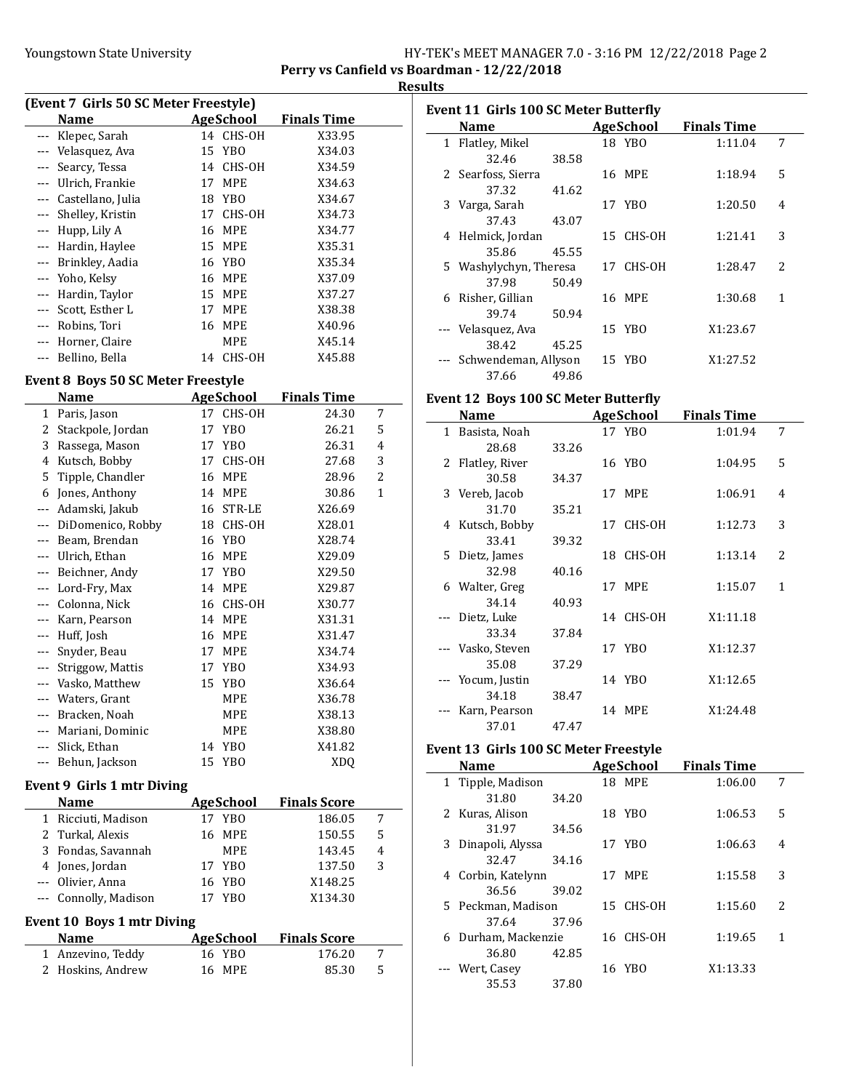### Youngstown State University The HY-TEK's MEET MANAGER 7.0 - 3:16 PM 12/22/2018 Page 2 Perry vs Canfield vs Boardman - 12/22/2018

## **Results**

| (Event 7 Girls 50 SC Meter Freestyle) |                  |                    |  |  |  |  |  |
|---------------------------------------|------------------|--------------------|--|--|--|--|--|
| Name                                  | AgeSchool        | <b>Finals Time</b> |  |  |  |  |  |
| --- Klepec, Sarah                     | 14 CHS-OH        | X33.95             |  |  |  |  |  |
| Velasquez, Ava                        | 15 YBO           | X34.03             |  |  |  |  |  |
| --- Searcy, Tessa                     | 14 CHS-OH        | X34.59             |  |  |  |  |  |
| Ulrich, Frankie                       | <b>MPE</b><br>17 | X34.63             |  |  |  |  |  |
| Castellano, Julia                     | 18 YBO           | X34.67             |  |  |  |  |  |
| --- Shelley, Kristin                  | 17 CHS-OH        | X34.73             |  |  |  |  |  |
| Hupp, Lily A<br>$\qquad \qquad -$     | MPE<br>16        | X34.77             |  |  |  |  |  |
| --- Hardin, Haylee                    | 15 MPE           | X35.31             |  |  |  |  |  |
| Brinkley, Aadia<br>---                | 16 YBO           | X35.34             |  |  |  |  |  |
| Yoho, Kelsy<br>$--$                   | 16 MPE           | X37.09             |  |  |  |  |  |
| Hardin, Taylor<br>$--$                | <b>MPE</b><br>15 | X37.27             |  |  |  |  |  |
| Scott, Esther L<br>$\cdots$           | <b>MPE</b><br>17 | X38.38             |  |  |  |  |  |
| Robins, Tori                          | MPE<br>16        | X40.96             |  |  |  |  |  |
| Horner, Claire                        | MPE              | X45.14             |  |  |  |  |  |
| Bellino, Bella                        | CHS-OH<br>14     | X45.88             |  |  |  |  |  |

## Event 8 Boys 50 SC Meter Freestyle

|          | Name              | <b>AgeSchool</b> |                 | <b>Finals Time</b> |   |
|----------|-------------------|------------------|-----------------|--------------------|---|
| 1        | Paris, Jason      | 17               | CHS-OH          | 24.30              | 7 |
| 2        | Stackpole, Jordan | 17               | YB <sub>0</sub> | 26.21              | 5 |
| 3        | Rassega, Mason    | 17               | YB <sub>0</sub> | 26.31              | 4 |
| 4        | Kutsch, Bobby     | 17               | CHS-OH          | 27.68              | 3 |
| 5        | Tipple, Chandler  | 16               | <b>MPE</b>      | 28.96              | 2 |
| 6        | Jones, Anthony    | 14               | <b>MPE</b>      | 30.86              | 1 |
|          | Adamski, Jakub    | 16               | STR-LE          | X26.69             |   |
|          | DiDomenico, Robby | 18               | CHS-OH          | X28.01             |   |
|          | Beam, Brendan     | 16               | YB <sub>0</sub> | X28.74             |   |
| $---$    | Ulrich, Ethan     | 16               | <b>MPE</b>      | X29.09             |   |
| $---$    | Beichner, Andy    | 17               | YBO             | X29.50             |   |
| $---$    | Lord-Fry, Max     | 14               | <b>MPE</b>      | X29.87             |   |
| $---$    | Colonna, Nick     | 16               | CHS-OH          | X30.77             |   |
|          | Karn, Pearson     | 14               | <b>MPE</b>      | X31.31             |   |
| $---$    | Huff, Josh        | 16               | <b>MPE</b>      | X31.47             |   |
| $---$    | Snyder, Beau      | 17               | <b>MPE</b>      | X34.74             |   |
| $---$    | Striggow, Mattis  | 17               | YB <sub>0</sub> | X34.93             |   |
|          | Vasko, Matthew    | 15               | YB <sub>O</sub> | X36.64             |   |
| $---$    | Waters, Grant     |                  | <b>MPE</b>      | X36.78             |   |
| $\cdots$ | Bracken, Noah     |                  | <b>MPE</b>      | X38.13             |   |
| $---$    | Mariani, Dominic  |                  | <b>MPE</b>      | X38.80             |   |
|          | Slick, Ethan      | 14               | YB <sub>0</sub> | X41.82             |   |
|          | Behun, Jackson    | 15               | <b>YBO</b>      | XDQ                |   |
|          |                   |                  |                 |                    |   |

## Event 9 Girls 1 mtr Diving

|                            | <b>Name</b>           |    | AgeSchool  | <b>Finals Score</b> |                |  |  |
|----------------------------|-----------------------|----|------------|---------------------|----------------|--|--|
|                            | 1 Ricciuti, Madison   |    | 17 YBO     | 186.05              | 7              |  |  |
|                            | 2 Turkal, Alexis      |    | 16 MPE     | 150.55              | 5              |  |  |
|                            | 3 Fondas, Savannah    |    | <b>MPE</b> | 143.45              | $\overline{4}$ |  |  |
|                            | 4 Jones, Jordan       |    | 17 YBO     | 137.50              | 3              |  |  |
|                            | --- Olivier, Anna     |    | 16 YBO     | X148.25             |                |  |  |
|                            | --- Connolly, Madison | 17 | YBO        | X134.30             |                |  |  |
| Event 10 Boys 1 mtr Diving |                       |    |            |                     |                |  |  |

| <b>Name</b>       | AgeSchool | <b>Finals Score</b> |    |
|-------------------|-----------|---------------------|----|
| 1 Anzevino, Teddy | 16 YBO    | 176.20              |    |
| 2 Hoskins, Andrew | 16 MPE    | 85.30               | -5 |

|   | Event 11 Girls 100 SC Meter Butterfly |       |  |           |                    |                          |  |  |
|---|---------------------------------------|-------|--|-----------|--------------------|--------------------------|--|--|
|   | <b>Name</b>                           |       |  | AgeSchool | <b>Finals Time</b> |                          |  |  |
|   | 1 Flatley, Mikel                      |       |  | 18 YBO    | 1:11.04            | 7                        |  |  |
|   | 32.46                                 | 38.58 |  |           |                    |                          |  |  |
|   | 2 Searfoss, Sierra                    |       |  | 16 MPE    | 1:18.94            | 5                        |  |  |
|   | 37.32                                 | 41.62 |  |           |                    |                          |  |  |
| 3 | Varga, Sarah                          |       |  | 17 YBO    | 1:20.50            | 4                        |  |  |
|   | 37.43                                 | 43.07 |  |           |                    |                          |  |  |
| 4 | Helmick, Jordan                       |       |  | 15 CHS-OH | 1:21.41            | 3                        |  |  |
|   | 35.86                                 | 45.55 |  |           |                    |                          |  |  |
|   | 5 Washylychyn, Theresa                |       |  | 17 CHS-OH | 1:28.47            | $\overline{\mathcal{L}}$ |  |  |
|   | 37.98                                 | 50.49 |  |           |                    |                          |  |  |
| 6 | Risher, Gillian                       |       |  | 16 MPE    | 1:30.68            | 1                        |  |  |
|   | 39.74                                 | 50.94 |  |           |                    |                          |  |  |
|   | --- Velasquez, Ava                    |       |  | 15 YBO    | X1:23.67           |                          |  |  |
|   | 38.42                                 | 45.25 |  |           |                    |                          |  |  |
|   | --- Schwendeman, Allyson              |       |  | 15 YBO    | X1:27.52           |                          |  |  |
|   | 37.66                                 | 49.86 |  |           |                    |                          |  |  |

### Event 12 Boys 100 SC Meter Butterfly

|              | Name              |       |    | AgeSchool  | <b>Finals Time</b> |               |
|--------------|-------------------|-------|----|------------|--------------------|---------------|
| $\mathbf{1}$ | Basista, Noah     |       |    | 17 YBO     | 1:01.94            | 7             |
|              | 28.68             | 33.26 |    |            |                    |               |
|              | 2 Flatley, River  |       |    | 16 YBO     | 1:04.95            | 5             |
|              | 30.58             | 34.37 |    |            |                    |               |
|              | 3 Vereb, Jacob    |       |    | 17 MPE     | 1:06.91            | 4             |
|              | 31.70             | 35.21 |    |            |                    |               |
|              | 4 Kutsch, Bobby   |       | 17 | CHS-OH     | 1:12.73            | 3             |
|              | 33.41             | 39.32 |    |            |                    |               |
|              | 5 Dietz, James    |       |    | 18 CHS-OH  | 1:13.14            | $\mathcal{L}$ |
|              | 32.98             | 40.16 |    |            |                    |               |
|              | 6 Walter, Greg    |       | 17 | <b>MPE</b> | 1:15.07            | 1             |
|              | 34.14             | 40.93 |    |            |                    |               |
|              | --- Dietz, Luke   |       |    | 14 CHS-OH  | X1:11.18           |               |
|              | 33.34             | 37.84 |    |            |                    |               |
|              | --- Vasko, Steven |       |    | 17 YBO     | X1:12.37           |               |
|              | 35.08             | 37.29 |    |            |                    |               |
|              | --- Yocum, Justin |       |    | 14 YBO     | X1:12.65           |               |
|              | 34.18             | 38.47 |    |            |                    |               |
|              | Karn, Pearson     |       |    | 14 MPE     | X1:24.48           |               |
|              | 37.01             | 47.47 |    |            |                    |               |

## Event 13 Girls 100 SC Meter Freestyle

|   | <b>Name</b>        |       | AgeSchool | <b>Finals Time</b> |                          |
|---|--------------------|-------|-----------|--------------------|--------------------------|
|   | 1 Tipple, Madison  |       | 18 MPE    | 1:06.00            | 7                        |
|   | 31.80              | 34.20 |           |                    |                          |
|   | 2 Kuras, Alison    |       | 18 YBO    | 1:06.53            | 5                        |
|   | 31.97              | 34.56 |           |                    |                          |
|   | 3 Dinapoli, Alyssa |       | 17 YBO    | 1:06.63            | 4                        |
|   | 32.47              | 34.16 |           |                    |                          |
|   | 4 Corbin, Katelynn |       | 17 MPE    | 1:15.58            | 3                        |
|   | 36.56              | 39.02 |           |                    |                          |
|   | 5 Peckman, Madison |       | 15 CHS-OH | 1:15.60            | $\overline{\mathcal{L}}$ |
|   | 37.64              | 37.96 |           |                    |                          |
| 6 | Durham, Mackenzie  |       | 16 CHS-OH | 1:19.65            | 1                        |
|   | 36.80              | 42.85 |           |                    |                          |
|   | --- Wert, Casey    |       | 16 YBO    | X1:13.33           |                          |
|   | 35.53              | 37.80 |           |                    |                          |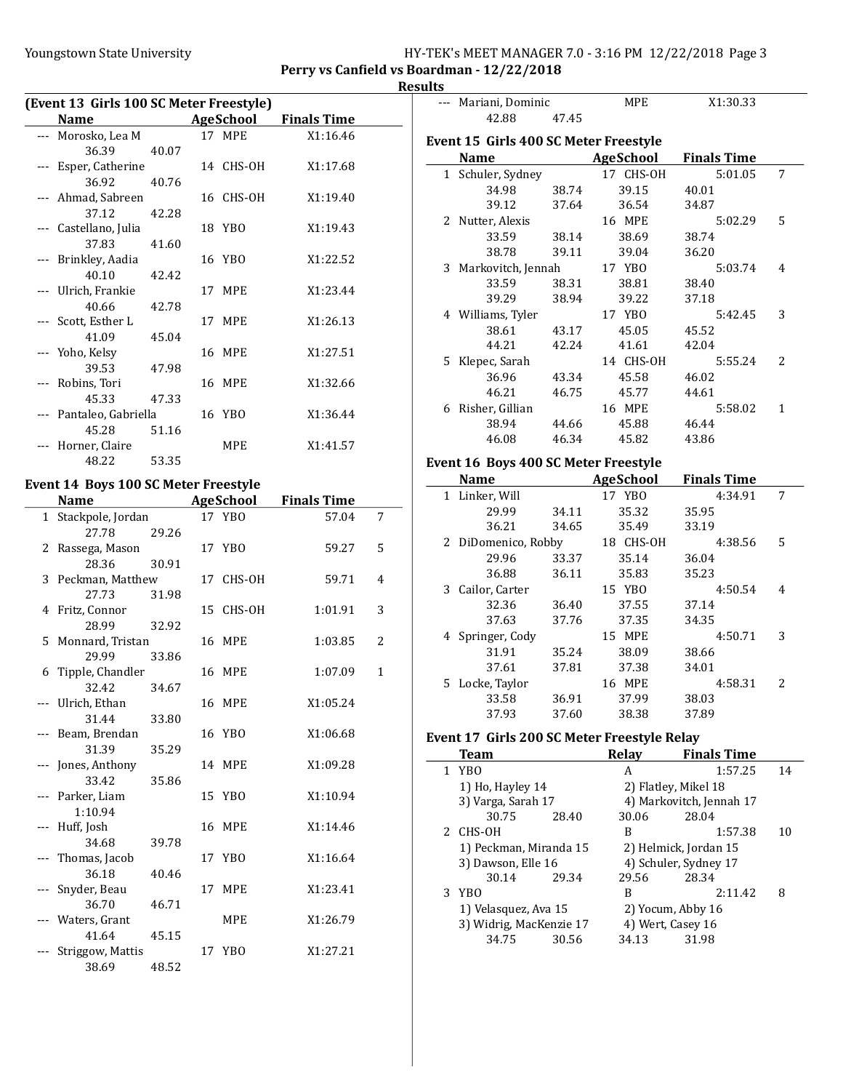### Youngstown State University The HY-TEK's MEET MANAGER 7.0 - 3:16 PM 12/22/2018 Page 3 Perry vs Canfield vs Boardman - 12/22/2018

**Results** 

| (Event 13 Girls 100 SC Meter Freestyle) |                       |       |  |            |                    |  |  |
|-----------------------------------------|-----------------------|-------|--|------------|--------------------|--|--|
|                                         | Name                  |       |  | AgeSchool  | <b>Finals Time</b> |  |  |
|                                         | Morosko, Lea M        |       |  | 17 MPE     | X1:16.46           |  |  |
|                                         | 36.39                 | 40.07 |  |            |                    |  |  |
|                                         | Esper, Catherine      |       |  | 14 CHS-OH  | X1:17.68           |  |  |
|                                         | 36.92                 | 40.76 |  |            |                    |  |  |
|                                         | --- Ahmad, Sabreen    |       |  | 16 CHS-OH  | X1:19.40           |  |  |
|                                         | 37.12                 | 42.28 |  |            |                    |  |  |
|                                         | --- Castellano, Julia |       |  | 18 YBO     | X1:19.43           |  |  |
|                                         | 37.83                 | 41.60 |  |            |                    |  |  |
|                                         | --- Brinkley, Aadia   |       |  | 16 YBO     | X1:22.52           |  |  |
|                                         | 40.10                 | 42.42 |  |            |                    |  |  |
|                                         | --- Ulrich, Frankie   |       |  | 17 MPE     | X1:23.44           |  |  |
|                                         | 40.66                 | 42.78 |  |            |                    |  |  |
|                                         | --- Scott, Esther L   |       |  | 17 MPE     | X1:26.13           |  |  |
|                                         | 41.09                 | 45.04 |  |            |                    |  |  |
|                                         | --- Yoho, Kelsy       |       |  | 16 MPE     | X1:27.51           |  |  |
|                                         | 39.53                 | 47.98 |  |            |                    |  |  |
|                                         | Robins, Tori          |       |  | 16 MPE     | X1:32.66           |  |  |
|                                         | 45.33                 | 47.33 |  |            |                    |  |  |
|                                         | Pantaleo, Gabriella   |       |  | 16 YBO     | X1:36.44           |  |  |
|                                         | 45.28                 | 51.16 |  |            |                    |  |  |
|                                         | Horner, Claire        |       |  | <b>MPE</b> | X1:41.57           |  |  |
|                                         | 48.22                 | 53.35 |  |            |                    |  |  |

# Event 14 Boys 100 SC Meter Freestyle

|              | <b>Name</b>        |       | <b>AgeSchool</b> |            | <b>Finals Time</b> |              |  |
|--------------|--------------------|-------|------------------|------------|--------------------|--------------|--|
| $\mathbf{1}$ | Stackpole, Jordan  |       |                  | 17 YBO     | 57.04              | 7            |  |
|              | 27.78              | 29.26 |                  |            |                    |              |  |
|              | 2 Rassega, Mason   |       |                  | 17 YBO     | 59.27              | 5            |  |
|              | 28.36              | 30.91 |                  |            |                    |              |  |
|              | 3 Peckman, Matthew |       |                  | 17 CHS-OH  | 59.71              | 4            |  |
|              | 27.73              | 31.98 |                  |            |                    |              |  |
|              | 4 Fritz, Connor    |       |                  | 15 CHS-OH  | 1:01.91            | 3            |  |
|              | 28.99              | 32.92 |                  |            |                    |              |  |
|              | 5 Monnard, Tristan |       |                  | 16 MPE     | 1:03.85            | 2            |  |
|              | 29.99              | 33.86 |                  |            |                    |              |  |
|              | 6 Tipple, Chandler |       |                  | 16 MPE     | 1:07.09            | $\mathbf{1}$ |  |
|              | 32.42              | 34.67 |                  |            |                    |              |  |
|              | --- Ulrich, Ethan  |       |                  | 16 MPE     | X1:05.24           |              |  |
|              | 31.44              | 33.80 |                  |            |                    |              |  |
|              | --- Beam, Brendan  |       |                  | 16 YBO     | X1:06.68           |              |  |
|              | 31.39              | 35.29 |                  |            |                    |              |  |
|              | --- Jones, Anthony |       |                  | 14 MPE     | X1:09.28           |              |  |
|              | 33.42              | 35.86 |                  |            |                    |              |  |
|              | --- Parker, Liam   |       |                  | 15 YBO     | X1:10.94           |              |  |
|              | 1:10.94            |       |                  |            |                    |              |  |
|              | Huff, Josh         |       |                  | 16 MPE     | X1:14.46           |              |  |
|              | 34.68              | 39.78 |                  |            |                    |              |  |
|              | --- Thomas, Jacob  |       |                  | 17 YBO     | X1:16.64           |              |  |
|              | 36.18              | 40.46 |                  |            |                    |              |  |
|              | Snyder, Beau       |       | 17               | MPE        | X1:23.41           |              |  |
|              | 36.70              | 46.71 |                  |            |                    |              |  |
|              | --- Waters, Grant  |       |                  | <b>MPE</b> | X1:26.79           |              |  |
|              | 41.64              | 45.15 |                  |            |                    |              |  |
|              | Striggow, Mattis   |       |                  | 17 YBO     | X1:27.21           |              |  |
|              | 38.69              | 48.52 |                  |            |                    |              |  |

|   | --- Mariani, Dominic                        |       | MPE                        | X1:30.33                 |    |
|---|---------------------------------------------|-------|----------------------------|--------------------------|----|
|   | 42.88                                       | 47.45 |                            |                          |    |
|   |                                             |       |                            |                          |    |
|   | Event 15 Girls 400 SC Meter Freestyle       |       |                            |                          |    |
|   | Name                                        |       | <b>AgeSchool</b>           | <b>Finals Time</b>       |    |
|   | 1 Schuler, Sydney                           |       | 17 CHS-OH                  | 5:01.05                  | 7  |
|   | 34.98                                       | 38.74 | 39.15                      | 40.01                    |    |
|   | 39.12                                       | 37.64 | 36.54                      | 34.87                    |    |
|   | 2 Nutter, Alexis                            |       | 16 MPE                     | 5:02.29                  | 5  |
|   | 33.59                                       | 38.14 | 38.69                      | 38.74                    |    |
|   | 38.78                                       | 39.11 | 39.04                      | 36.20                    |    |
|   | 3 Markovitch, Jennah                        |       | 17 YBO                     | 5:03.74                  | 4  |
|   | 33.59                                       | 38.31 | 38.81                      | 38.40                    |    |
|   | 39.29                                       | 38.94 | 39.22                      | 37.18                    |    |
|   | 4 Williams, Tyler                           |       | 17 YBO                     | 5:42.45                  | 3  |
|   | 38.61                                       | 43.17 | 45.05                      | 45.52                    |    |
|   | 44.21                                       | 42.24 | 41.61                      | 42.04                    |    |
|   | 5 Klepec, Sarah                             |       | 14 CHS-OH                  | 5:55.24                  | 2  |
|   | 36.96                                       | 43.34 | 45.58                      | 46.02                    |    |
|   | 46.21                                       | 46.75 | 45.77                      | 44.61                    |    |
|   | 6 Risher, Gillian                           |       | 16 MPE                     | 5:58.02                  | 1  |
|   | 38.94                                       | 44.66 | 45.88                      | 46.44                    |    |
|   | 46.08                                       | 46.34 | 45.82                      | 43.86                    |    |
|   |                                             |       |                            |                          |    |
|   | Event 16 Boys 400 SC Meter Freestyle        |       |                            |                          |    |
|   | Name                                        |       | <b>Example 2</b> AgeSchool | <b>Finals Time</b>       |    |
|   | 1 Linker, Will                              |       | 17 YBO                     | 4:34.91                  | 7  |
|   | 29.99                                       | 34.11 | 35.32                      | 35.95                    |    |
|   | 36.21                                       | 34.65 | 35.49                      | 33.19                    |    |
|   | 2 DiDomenico, Robby                         |       | 18 CHS-OH                  | 4:38.56                  | 5  |
|   | 29.96                                       | 33.37 | 35.14                      | 36.04                    |    |
|   | 36.88                                       | 36.11 | 35.83                      | 35.23                    |    |
|   | 3 Cailor, Carter                            |       | 15 YBO                     | 4:50.54                  | 4  |
|   | 32.36                                       | 36.40 | 37.55                      | 37.14                    |    |
|   | 37.63                                       | 37.76 | 37.35                      | 34.35                    |    |
|   | 4 Springer, Cody                            |       | 15 MPE                     | 4:50.71                  | 3  |
|   | 31.91                                       | 35.24 | 38.09                      | 38.66                    |    |
|   | 37.61                                       | 37.81 | 37.38                      | 34.01                    |    |
|   | 5 Locke, Taylor                             |       | 16 MPE                     | 4:58.31                  | 2  |
|   | 33.58                                       | 36.91 | 37.99                      | 38.03                    |    |
|   | 37.93                                       | 37.60 | 38.38                      | 37.89                    |    |
|   |                                             |       |                            |                          |    |
|   | Event 17 Girls 200 SC Meter Freestyle Relay |       |                            |                          |    |
|   | Team                                        |       | <b>Relay</b>               | <b>Finals Time</b>       |    |
| 1 | <b>YBO</b>                                  |       | A                          | 1:57.25                  | 14 |
|   | 1) Ho, Hayley 14                            |       |                            | 2) Flatley, Mikel 18     |    |
|   | 3) Varga, Sarah 17                          |       |                            | 4) Markovitch, Jennah 17 |    |
|   | 30.75                                       | 28.40 | 30.06                      | 28.04                    |    |
| 2 | CHS-OH                                      |       | B                          | 1:57.38                  | 10 |
|   | 1) Peckman, Miranda 15                      |       |                            | 2) Helmick, Jordan 15    |    |
|   | 3) Dawson, Elle 16                          |       |                            | 4) Schuler, Sydney 17    |    |
|   | 30.14                                       | 29.34 | 29.56                      | 28.34                    |    |

29.56 3 2:11.42 8 YBO B

1) Velasquez, Ava 15 2) Yocum, Abby 16<br>3) Widrig, MacKenzie 17 4) Wert, Casey 16 3) Widrig, MacKenzie 17  $\begin{array}{r} 4$ ) Wert, Casey 16<br>34.75 30.56 34.13 31.98 30.56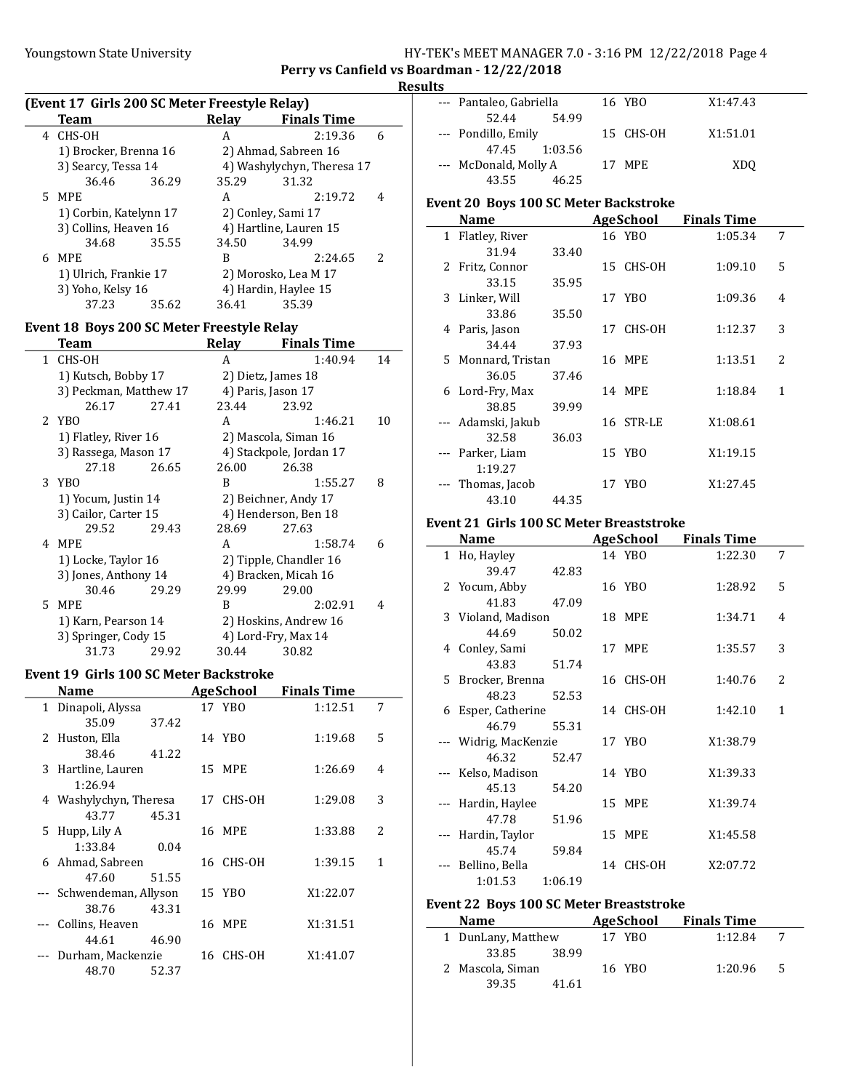### Youngstown State University The HY-TEK's MEET MANAGER 7.0 - 3:16 PM 12/22/2018 Page 4 Perry vs Canfield vs Boardman - 12/22/2018

## **Results**

| (Event 17 Girls 200 SC Meter Freestyle Relay) |                        |       |                        |                            |                          |  |
|-----------------------------------------------|------------------------|-------|------------------------|----------------------------|--------------------------|--|
|                                               | <b>Team</b>            |       | Relav                  | <b>Finals Time</b>         |                          |  |
| 4                                             | CHS-OH                 |       | A                      | 2:19.36                    | 6                        |  |
|                                               | 1) Brocker, Brenna 16  |       |                        | 2) Ahmad, Sabreen 16       |                          |  |
|                                               | 3) Searcy, Tessa 14    |       |                        | 4) Washylychyn, Theresa 17 |                          |  |
|                                               | 36.46                  | 36.29 | 35.29                  | 31.32                      |                          |  |
|                                               | 5 MPE                  |       | А                      | 2:19.72                    | 4                        |  |
|                                               | 1) Corbin, Katelynn 17 |       | 2) Conley, Sami 17     |                            |                          |  |
|                                               | 3) Collins, Heaven 16  |       | 4) Hartline, Lauren 15 |                            |                          |  |
|                                               | 34.68                  | 35.55 | 34.50                  | 34.99                      |                          |  |
| 6                                             | MPE.                   |       | B                      | 2:24.65                    | $\overline{\mathcal{L}}$ |  |
|                                               | 1) Ulrich, Frankie 17  |       |                        | 2) Morosko, Lea M 17       |                          |  |
|                                               | 3) Yoho, Kelsy 16      |       |                        | 4) Hardin, Haylee 15       |                          |  |
|                                               | 37.23                  | 35.62 | 36.41                  | 35.39                      |                          |  |

## Event 18 Boys 200 SC Meter Freestyle Relay

|    | Team                   |       | Relav | <b>Finals Time</b>      |    |
|----|------------------------|-------|-------|-------------------------|----|
| 1. | CHS-OH                 |       | A     | 1:40.94                 | 14 |
|    | 1) Kutsch, Bobby 17    |       |       | 2) Dietz, James 18      |    |
|    | 3) Peckman, Matthew 17 |       |       | 4) Paris, Jason 17      |    |
|    | 26.17                  | 27.41 | 23.44 | 23.92                   |    |
|    | 2 YBO                  |       | A     | 1:46.21                 | 10 |
|    | 1) Flatley, River 16   |       |       | 2) Mascola, Siman 16    |    |
|    | 3) Rassega, Mason 17   |       |       | 4) Stackpole, Jordan 17 |    |
|    | 27.18                  | 26.65 | 26.00 | 26.38                   |    |
|    | 3 YBO                  |       | B     | 1:55.27                 | 8  |
|    | 1) Yocum, Justin 14    |       |       | 2) Beichner, Andy 17    |    |
|    | 3) Cailor, Carter 15   |       |       | 4) Henderson, Ben 18    |    |
|    | 29.52                  | 29.43 | 28.69 | 27.63                   |    |
| 4  | MPE                    |       | A     | 1:58.74                 | 6  |
|    | 1) Locke, Taylor 16    |       |       | 2) Tipple, Chandler 16  |    |
|    | 3) Jones, Anthony 14   |       |       | 4) Bracken, Micah 16    |    |
|    | 30.46                  | 29.29 | 29.99 | 29.00                   |    |
| 5. | MPE                    |       | B     | 2:02.91                 | 4  |
|    | 1) Karn, Pearson 14    |       |       | 2) Hoskins, Andrew 16   |    |
|    | 3) Springer, Cody 15   |       |       | 4) Lord-Fry, Max 14     |    |
|    | 31.73                  | 29.92 | 30.44 | 30.82                   |    |

#### Event 19 Girls 100 SC Meter Backstroke

| Name                     |       | AgeSchool | <b>Finals Time</b> |                          |
|--------------------------|-------|-----------|--------------------|--------------------------|
| 1 Dinapoli, Alyssa       |       | 17 YBO    | 1:12.51            | 7                        |
| 35.09                    | 37.42 |           |                    |                          |
| 2 Huston, Ella           |       | 14 YBO    | 1:19.68            | 5                        |
| 38.46                    | 41.22 |           |                    |                          |
| 3 Hartline, Lauren       |       | 15 MPE    | 1:26.69            | 4                        |
| 1:26.94                  |       |           |                    |                          |
| 4 Washylychyn, Theresa   |       | 17 CHS-OH | 1:29.08            | 3                        |
| 43.77                    | 45.31 |           |                    |                          |
| 5 Hupp, Lily A           |       | 16 MPE    | 1:33.88            | $\overline{\mathcal{L}}$ |
| 1:33.84                  | 0.04  |           |                    |                          |
| 6 Ahmad, Sabreen         |       | 16 CHS-OH | 1:39.15            | 1                        |
| 47.60                    | 51.55 |           |                    |                          |
| --- Schwendeman, Allyson |       | 15 YBO    | X1:22.07           |                          |
| 38.76                    | 43.31 |           |                    |                          |
| Collins, Heaven          |       | 16 MPE    | X1:31.51           |                          |
| 44.61                    | 46.90 |           |                    |                          |
| --- Durham, Mackenzie    |       | 16 CHS-OH | X1:41.07           |                          |
| 48.70                    | 52.37 |           |                    |                          |

| w |                         |           |          |
|---|-------------------------|-----------|----------|
|   | --- Pantaleo, Gabriella | 16 YBO    | X1:47.43 |
|   | 54.99<br>52.44          |           |          |
|   | --- Pondillo, Emily     | 15 CHS-OH | X1:51.01 |
|   | 47.45 1:03.56           |           |          |
|   | --- McDonald, Molly A   | 17 MPE    | XDO      |
|   | 43.55<br>46.25          |           |          |

### Event 20 Boys 100 SC Meter Backstroke

| <b>Name</b>        |       |    | <b>AgeSchool</b> | <b>Finals Time</b> |                |
|--------------------|-------|----|------------------|--------------------|----------------|
| 1 Flatley, River   |       |    | 16 YBO           | 1:05.34            | 7              |
| 31.94              | 33.40 |    |                  |                    |                |
| 2 Fritz, Connor    |       |    | 15 CHS-OH        | 1:09.10            | 5              |
| 33.15              | 35.95 |    |                  |                    |                |
| 3 Linker, Will     |       |    | 17 YBO           | 1:09.36            | 4              |
| 33.86              | 35.50 |    |                  |                    |                |
| 4 Paris, Jason     |       | 17 | CHS-OH           | 1:12.37            | 3              |
| 34.44              | 37.93 |    |                  |                    |                |
| 5 Monnard, Tristan |       |    | 16 MPE           | 1:13.51            | $\overline{c}$ |
| 36.05              | 37.46 |    |                  |                    |                |
| 6 Lord-Fry, Max    |       |    | 14 MPE           | 1:18.84            | 1              |
| 38.85              | 39.99 |    |                  |                    |                |
| --- Adamski, Jakub |       |    | 16 STR-LE        | X1:08.61           |                |
| 32.58              | 36.03 |    |                  |                    |                |
| --- Parker, Liam   |       |    | 15 YBO           | X1:19.15           |                |
| 1:19.27            |       |    |                  |                    |                |
| Thomas, Jacob      |       |    | 17 YBO           | X1:27.45           |                |
| 43.10              | 44.35 |    |                  |                    |                |

## Event 21 Girls 100 SC Meter Breaststroke

| Name               |         | <b>AgeSchool</b> | <b>Finals Time</b> |                          |
|--------------------|---------|------------------|--------------------|--------------------------|
| 1 Ho, Hayley       |         | 14 YBO           | 1:22.30            | 7                        |
| 39.47              | 42.83   |                  |                    |                          |
| 2 Yocum, Abby      |         | 16 YBO           | 1:28.92            | 5                        |
| 41.83              | 47.09   |                  |                    |                          |
| 3 Violand, Madison |         | <b>18 MPE</b>    | 1:34.71            | 4                        |
| 44.69              | 50.02   |                  |                    |                          |
| 4 Conley, Sami     |         | 17 MPE           | 1:35.57            | 3                        |
| 43.83              | 51.74   |                  |                    |                          |
| 5 Brocker, Brenna  |         | 16 CHS-OH        | 1:40.76            | $\overline{\mathcal{L}}$ |
| 48.23              | 52.53   |                  |                    |                          |
| 6 Esper, Catherine |         | 14 CHS-OH        | 1:42.10            | 1                        |
| 46.79              | 55.31   |                  |                    |                          |
| Widrig, MacKenzie  |         | 17 YBO           | X1:38.79           |                          |
| 46.32              | 52.47   |                  |                    |                          |
| --- Kelso, Madison |         | 14 YBO           | X1:39.33           |                          |
| 45.13              | 54.20   |                  |                    |                          |
| --- Hardin, Haylee |         | 15 MPE           | X1:39.74           |                          |
| 47.78              | 51.96   |                  |                    |                          |
| Hardin, Taylor     |         | 15 MPE           | X1:45.58           |                          |
| 45.74              | 59.84   |                  |                    |                          |
| Bellino, Bella     |         | 14 CHS-OH        | X2:07.72           |                          |
| 1:01.53            | 1:06.19 |                  |                    |                          |

## Event 22 Boys 100 SC Meter Breaststroke

| <b>Name</b>        | AgeSchool | <b>Finals Time</b> |    |
|--------------------|-----------|--------------------|----|
| 1 DunLany, Matthew | 17 YBO    | 1:12.84            |    |
| 33.85<br>38.99     |           |                    |    |
| 2 Mascola, Siman   | 16 YBO    | 1:20.96            | -5 |
| 39.35<br>41.61     |           |                    |    |